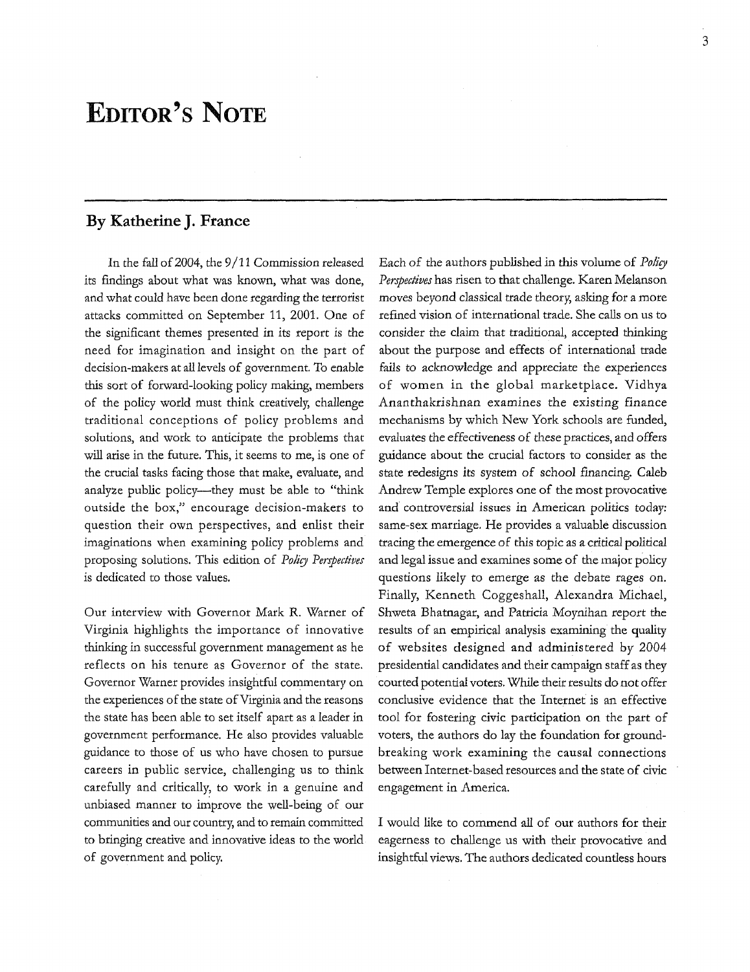## **EDITOR'S NOTE**

## **By Katherine J. France**

In the fall of 2004, the 9/11 Commission released its findings about what was known, what was done, and what could have been done regarding the terrorist attacks committed on September 11, 2001. One of the significant themes presented in its report *is* the need for imagination and insight on the part of decision-makers at all levels of government. To enable this sort of forward-looking policy making, members of the policy world must think creatively, challenge traditional conceptions of policy problems and solutions, and work to anticipate the problems that will arise in the future. This, it seems to me, is one of the crucial tasks facing those that make, evaluate, and analyze public policy-they must be able to "think outside the box," encourage decision-makers to question their own perspectives, and enlist their imaginations when examining policy problems and proposing solutions. This edition of *Policy Perspectives*  is dedicated to those values.

Our interview with Governor Mark R. Warner of Virginia highlights the importance of innovative thinking in successful government management as he reflects on his tenure as Governor of the state. Governor Warner provides insightful commentary on the experiences of the state of Virginia and the reasons the state has been able to set itself apart as a leader in government performance. He also provides valuable guidance to those of us who have chosen to pursue careers in public service, challenging us to think carefully and critically, to work in a genuine and unbiased manner to improve the well-being of our communities and our country, and to remain committed to bringing creative and innovative ideas to the world of government and policy.

Each of the authors published in this volume of *Polity Perspectives* has risen to that challenge. Karen Melanson moves beyond classical trade theory, asking for a more refined vision of international trade. She calls on us to consider the claim that traditional, accepted thinking about the purpose and effects of international trade fails to acknowledge and appreciate the experiences of women in the global marketplace. Vidhya Ananthakrishnan examines the existing finance mechanisms by which New York schools are funded, evaluates the effectiveness of these practices, and offers guidance about the crucial factors to consider as the state redesigns its system of school financing. Caleb Andrew Temple explores one of the most provocative and controversial issues in American politics today: same-sex marriage. He provides a valuable discussion tracing the emergence of this topic as a critical political and legal issue and examines some of the major policy questions likely to emerge as the debate rages on. Finally, Kenneth Coggeshall, Alexandra Michael, Shweta Bhatnagar, and Patricia Moynihan report the results of an empirical analysis examining the quality of websites designed and administered by 2004 presidential candidates and their campaign staff as they courted potential voters. While their results do not offer conclusive evidence that the Internet is an effective tool for fostering civic participation on the part of voters, the authors do lay the foundation for groundbreaking work examining the causal connections between Internet-based resources and the state of civic engagement in America.

I would like to commend all of our authors for their eagerness to challenge us with their provocative and insightful views. The authors dedicated countless hours